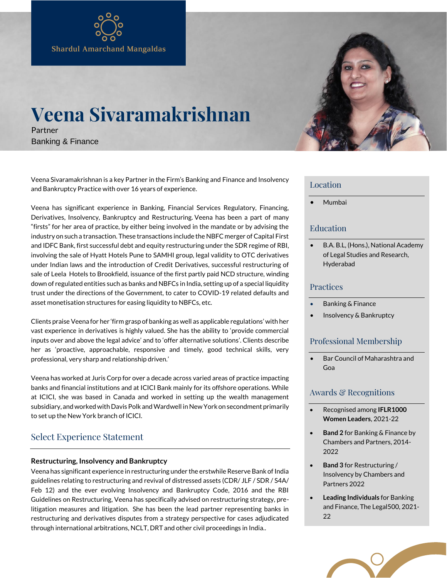# **Veena Sivaramakrishnan**

Partner Banking & Finance

Veena Sivaramakrishnan is a key Partner in the Firm's Banking and Finance and Insolvency and Bankruptcy Practice with over 16 years of experience.

Veena has significant experience in Banking, Financial Services Regulatory, Financing, Derivatives, Insolvency, Bankruptcy and Restructuring. Veena has been a part of many "firsts" for her area of practice, by either being involved in the mandate or by advising the industry on such a transaction. These transactions include the NBFC merger of Capital First and IDFC Bank, first successful debt and equity restructuring under the SDR regime of RBI, involving the sale of Hyatt Hotels Pune to SAMHI group, legal validity to OTC derivatives under Indian laws and the introduction of Credit Derivatives, successful restructuring of sale of Leela Hotels to Brookfield, issuance of the first partly paid NCD structure, winding down of regulated entities such as banks and NBFCs in India, setting up of a special liquidity trust under the directions of the Government, to cater to COVID-19 related defaults and asset monetisation structures for easing liquidity to NBFCs, etc.

Clients praise Veena for her 'firm grasp of banking as well as applicable regulations' with her vast experience in derivatives is highly valued. She has the ability to 'provide commercial inputs over and above the legal advice' and to 'offer alternative solutions'. Clients describe her as 'proactive, approachable, responsive and timely, good technical skills, very professional, very sharp and relationship driven.'

Veena has worked at Juris Corp for over a decade across varied areas of practice impacting banks and financial institutions and at ICICI Bank mainly for its offshore operations. While at ICICI, she was based in Canada and worked in setting up the wealth management subsidiary, and worked with Davis Polk and Wardwell in New York on secondment primarily to set up the New York branch of ICICI.

# Select Experience Statement

# **Restructuring, Insolvency and Bankruptcy**

Veena has significant experience in restructuring under the erstwhile Reserve Bank of India guidelines relating to restructuring and revival of distressed assets (CDR/ JLF / SDR / S4A/ Feb 12) and the ever evolving Insolvency and Bankruptcy Code, 2016 and the RBI Guidelines on Restructuring, Veena has specifically advised on restructuring strategy, prelitigation measures and litigation. She has been the lead partner representing banks in restructuring and derivatives disputes from a strategy perspective for cases adjudicated through international arbitrations, NCLT, DRT and other civil proceedings in India..

## Location

• Mumbai

# Education

• B.A. B.L, (Hons.), National Academy of Legal Studies and Research, Hyderabad

# Practices

- Banking & Finance
- [Insolvency & Bankruptcy](https://webtest.amsshardul.com/services/insolvency-bankruptcy/)

# Professional Membership

• Bar Council of Maharashtra and Goa

# Awards & Recognitions

- Recognised among **IFLR1000 Women Leaders**, 2021-22
- **Band 2** for Banking & Finance by Chambers and Partners, 2014- 2022
- **Band 3** for Restructuring / Insolvency by Chambers and Partners 2022
- **Leading Individuals** for Banking and Finance, The Legal500, 2021- 22

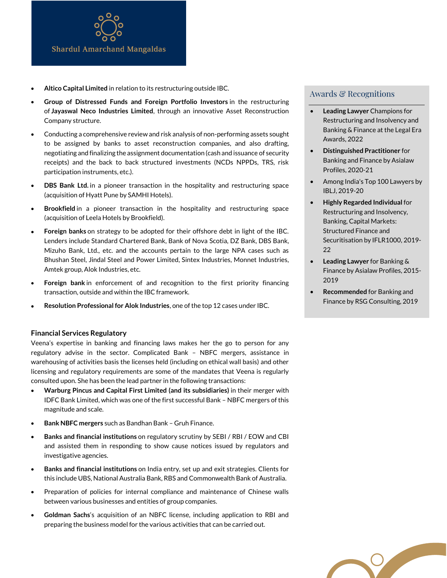

- **Altico Capital Limited** in relation to its restructuring outside IBC.
- **Group of Distressed Funds and Foreign Portfolio Investors** in the restructuring of **Jayaswal Neco Industries Limited**, through an innovative Asset Reconstruction Company structure.
- Conducting a comprehensive review and risk analysis of non-performing assets sought to be assigned by banks to asset reconstruction companies, and also drafting, negotiating and finalizing the assignment documentation (cash and issuance of security receipts) and the back to back structured investments (NCDs NPPDs, TRS, risk participation instruments, etc.).
- **DBS Bank Ltd.** in a pioneer transaction in the hospitality and restructuring space (acquisition of Hyatt Pune by SAMHI Hotels).
- **Brookfield** in a pioneer transaction in the hospitality and restructuring space (acquisition of Leela Hotels by Brookfield).
- **Foreign banks** on strategy to be adopted for their offshore debt in light of the IBC. Lenders include Standard Chartered Bank, Bank of Nova Scotia, DZ Bank, DBS Bank, Mizuho Bank, Ltd., etc. and the accounts pertain to the large NPA cases such as Bhushan Steel, Jindal Steel and Power Limited, Sintex Industries, Monnet Industries, Amtek group, Alok Industries, etc.
- **Foreign bank** in enforcement of and recognition to the first priority financing transaction, outside and within the IBC framework.
- **Resolution Professional for Alok Industries**, one of the top 12 cases under IBC.

#### **Financial Services Regulatory**

Veena's expertise in banking and financing laws makes her the go to person for any regulatory advise in the sector. Complicated Bank – NBFC mergers, assistance in warehousing of activities basis the licenses held (including on ethical wall basis) and other licensing and regulatory requirements are some of the mandates that Veena is regularly consulted upon. She has been the lead partner in the following transactions:

- **Warburg Pincus and Capital First Limited (and its subsidiaries)** in their merger with IDFC Bank Limited, which was one of the first successful Bank – NBFC mergers of this magnitude and scale.
- **Bank NBFC mergers** such as Bandhan Bank Gruh Finance.
- **Banks and financial institutions** on regulatory scrutiny by SEBI / RBI / EOW and CBI and assisted them in responding to show cause notices issued by regulators and investigative agencies.
- **Banks and financial institutions** on India entry, set up and exit strategies. Clients for this include UBS, National Australia Bank, RBS and Commonwealth Bank of Australia.
- Preparation of policies for internal compliance and maintenance of Chinese walls between various businesses and entities of group companies.
- **Goldman Sachs**'s acquisition of an NBFC license, including application to RBI and preparing the business model for the various activities that can be carried out.

### Awards & Recognitions

- **Leading Lawyer** Champions for Restructuring and Insolvency and Banking & Finance at the Legal Era Awards, 2022
- **Distinguished Practitioner** for Banking and Finance by Asialaw Profiles, 2020-21
- Among India's Top 100 Lawyers by IBLJ, 2019-20
- **Highly Regarded Individual** for Restructuring and Insolvency, Banking, Capital Markets: Structured Finance and Securitisation by IFLR1000, 2019- 22
- **Leading Lawyer** for Banking & Finance by Asialaw Profiles, 2015- 2019
- **Recommended** for Banking and Finance by RSG Consulting, 2019

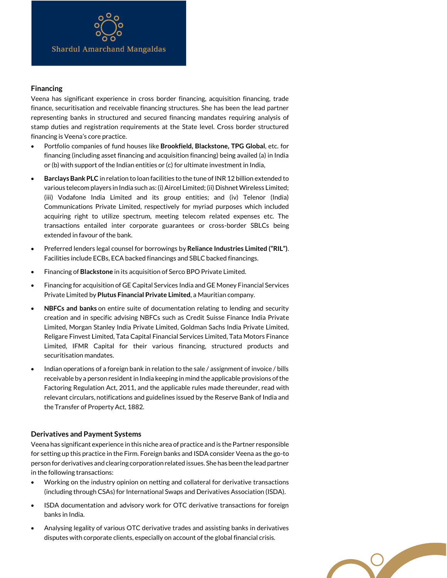#### **Financing**

Veena has significant experience in cross border financing, acquisition financing, trade finance, securitisation and receivable financing structures. She has been the lead partner representing banks in structured and secured financing mandates requiring analysis of stamp duties and registration requirements at the State level. Cross border structured financing is Veena's core practice.

- Portfolio companies of fund houses like **Brookfield, Blackstone, TPG Global**, etc. for financing (including asset financing and acquisition financing) being availed (a) in India or (b) with support of the Indian entities or (c) for ultimate investment in India,
- **Barclays Bank PLC** in relation to loan facilities to the tune of INR 12 billion extended to various telecom players in India such as: (i) Aircel Limited; (ii) Dishnet Wireless Limited; (iii) Vodafone India Limited and its group entities; and (iv) Telenor (India) Communications Private Limited, respectively for myriad purposes which included acquiring right to utilize spectrum, meeting telecom related expenses etc. The transactions entailed inter corporate guarantees or cross-border SBLCs being extended in favour of the bank.
- Preferred lenders legal counsel for borrowings by **Reliance Industries Limited ("RIL")**. Facilities include ECBs, ECA backed financings and SBLC backed financings.
- Financing of **Blackstone** in its acquisition of Serco BPO Private Limited.
- Financing for acquisition of GE Capital Services India and GE Money Financial Services Private Limited by **Plutus Financial Private Limited**, a Mauritian company.
- **NBFCs and banks** on entire suite of documentation relating to lending and security creation and in specific advising NBFCs such as Credit Suisse Finance India Private Limited, Morgan Stanley India Private Limited, Goldman Sachs India Private Limited, Religare Finvest Limited, Tata Capital Financial Services Limited, Tata Motors Finance Limited, IFMR Capital for their various financing, structured products and securitisation mandates.
- Indian operations of a foreign bank in relation to the sale / assignment of invoice / bills receivable by a person resident in India keeping in mind the applicable provisions of the Factoring Regulation Act, 2011, and the applicable rules made thereunder, read with relevant circulars, notifications and guidelines issued by the Reserve Bank of India and the Transfer of Property Act, 1882.

#### **Derivatives and Payment Systems**

Veena has significant experience in this niche area of practice and is the Partner responsible for setting up this practice in the Firm. Foreign banks and ISDA consider Veena as the go-to person for derivatives and clearing corporation related issues. She has been the lead partner in the following transactions:

- Working on the industry opinion on netting and collateral for derivative transactions (including through CSAs) for International Swaps and Derivatives Association (ISDA).
- ISDA documentation and advisory work for OTC derivative transactions for foreign banks in India.
- Analysing legality of various OTC derivative trades and assisting banks in derivatives disputes with corporate clients, especially on account of the global financial crisis.